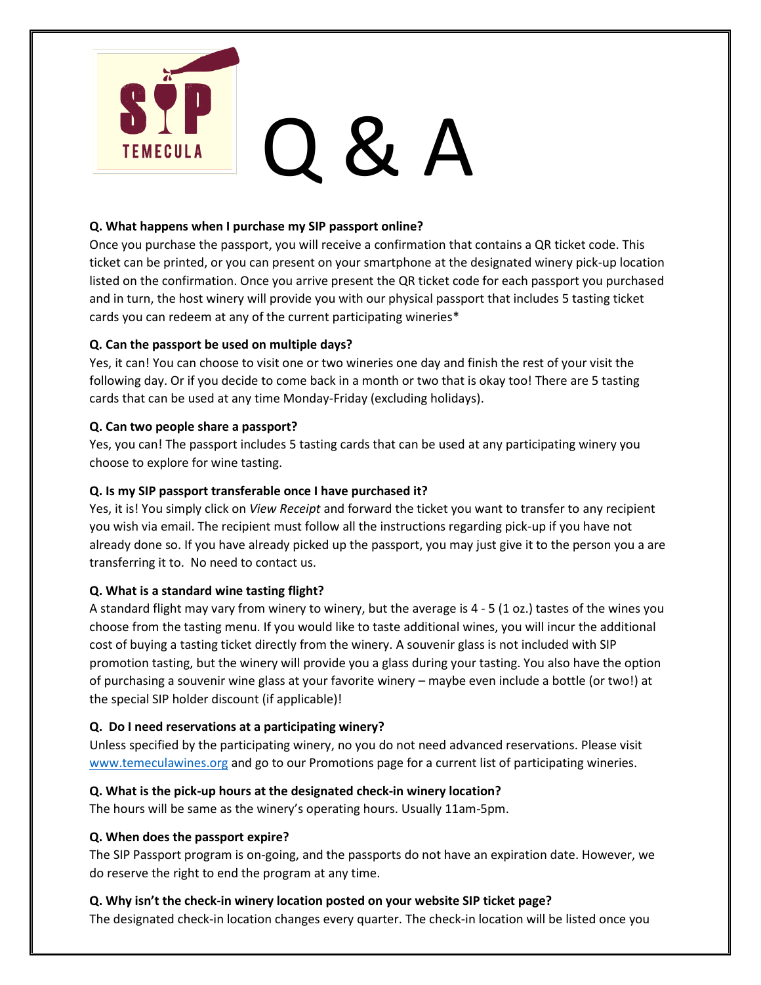

#### **Q. What happens when I purchase my SIP passport online?**

Once you purchase the passport, you will receive a confirmation that contains a QR ticket code. This ticket can be printed, or you can present on your smartphone at the designated winery pick-up location listed on the confirmation. Once you arrive present the QR ticket code for each passport you purchased and in turn, the host winery will provide you with our physical passport that includes 5 tasting ticket cards you can redeem at any of the current participating wineries\*

## **Q. Can the passport be used on multiple days?**

Yes, it can! You can choose to visit one or two wineries one day and finish the rest of your visit the following day. Or if you decide to come back in a month or two that is okay too! There are 5 tasting cards that can be used at any time Monday-Friday (excluding holidays).

## **Q. Can two people share a passport?**

Yes, you can! The passport includes 5 tasting cards that can be used at any participating winery you choose to explore for wine tasting.

## **Q. Is my SIP passport transferable once I have purchased it?**

Yes, it is! You simply click on *View Receipt* and forward the ticket you want to transfer to any recipient you wish via email. The recipient must follow all the instructions regarding pick-up if you have not already done so. If you have already picked up the passport, you may just give it to the person you a are transferring it to. No need to contact us.

## **Q. What is a standard wine tasting flight?**

A standard flight may vary from winery to winery, but the average is 4 - 5 (1 oz.) tastes of the wines you choose from the tasting menu. If you would like to taste additional wines, you will incur the additional cost of buying a tasting ticket directly from the winery. A souvenir glass is not included with SIP promotion tasting, but the winery will provide you a glass during your tasting. You also have the option of purchasing a souvenir wine glass at your favorite winery – maybe even include a bottle (or two!) at the special SIP holder discount (if applicable)!

## **Q. Do I need reservations at a participating winery?**

Unless specified by the participating winery, no you do not need advanced reservations. Please visit [www.temeculawines.org](http://www.temeculawines.org/) and go to our Promotions page for a current list of participating wineries.

## **Q. What is the pick-up hours at the designated check-in winery location?**

The hours will be same as the winery's operating hours. Usually 11am-5pm.

## **Q. When does the passport expire?**

The SIP Passport program is on-going, and the passports do not have an expiration date. However, we do reserve the right to end the program at any time.

## **Q. Why isn't the check-in winery location posted on your website SIP ticket page?**

The designated check-in location changes every quarter. The check-in location will be listed once you